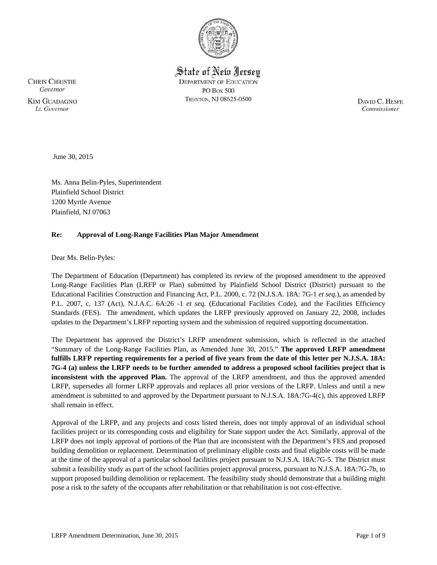

State of New Jersey **DEPARTMENT OF EDUCATION PO Box 500** TRENTON, NJ 08625-0500

**CHRIS CHRISTIE** Governor **KIM GUADAGNO** Lt. Governor

DAVID C. HESPE Commissioner

June 30, 2015

Ms. Anna Belin-Pyles, Superintendent Plainfield School District 1200 Myrtle Avenue Plainfield, NJ 07063

# **Re: Approval of Long-Range Facilities Plan Major Amendment**

Dear Ms. Belin-Pyles:

The Department of Education (Department) has completed its review of the proposed amendment to the approved Long-Range Facilities Plan (LRFP or Plan) submitted by Plainfield School District (District) pursuant to the Educational Facilities Construction and Financing Act, P.L. 2000, c. 72 (N.J.S.A. 18A: 7G-1 *et seq.*), as amended by P.L. 2007, c. 137 (Act), N.J.A.C. 6A:26 -1 *et seq.* (Educational Facilities Code), and the Facilities Efficiency Standards (FES). The amendment, which updates the LRFP previously approved on January 22, 2008, includes updates to the Department's LRFP reporting system and the submission of required supporting documentation.

The Department has approved the District's LRFP amendment submission, which is reflected in the attached "Summary of the Long-Range Facilities Plan, as Amended June 30, 2015." **The approved LRFP amendment fulfills LRFP reporting requirements for a period of five years from the date of this letter per N.J.S.A. 18A: 7G-4 (a) unless the LRFP needs to be further amended to address a proposed school facilities project that is inconsistent with the approved Plan.** The approval of the LRFP amendment, and thus the approved amended LRFP, supersedes all former LRFP approvals and replaces all prior versions of the LRFP. Unless and until a new amendment is submitted to and approved by the Department pursuant to N.J.S.A. 18A:7G-4(c), this approved LRFP shall remain in effect.

Approval of the LRFP, and any projects and costs listed therein, does not imply approval of an individual school facilities project or its corresponding costs and eligibility for State support under the Act. Similarly, approval of the LRFP does not imply approval of portions of the Plan that are inconsistent with the Department's FES and proposed building demolition or replacement. Determination of preliminary eligible costs and final eligible costs will be made at the time of the approval of a particular school facilities project pursuant to N.J.S.A. 18A:7G-5. The District must submit a feasibility study as part of the school facilities project approval process, pursuant to N.J.S.A. 18A:7G-7b, to support proposed building demolition or replacement. The feasibility study should demonstrate that a building might pose a risk to the safety of the occupants after rehabilitation or that rehabilitation is not cost-effective.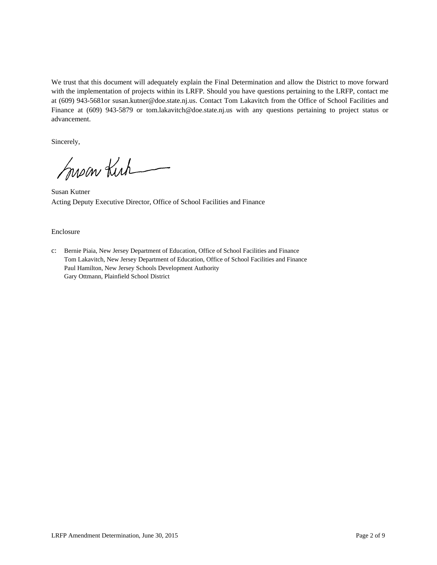We trust that this document will adequately explain the Final Determination and allow the District to move forward with the implementation of projects within its LRFP. Should you have questions pertaining to the LRFP, contact me at (609) 943-5681or susan.kutner@doe.state.nj.us. Contact Tom Lakavitch from the Office of School Facilities and Finance at (609) 943-5879 or tom.lakavitch@doe.state.nj.us with any questions pertaining to project status or advancement.

Sincerely,

Susan Kirk

Susan Kutner Acting Deputy Executive Director, Office of School Facilities and Finance

#### Enclosure

c: Bernie Piaia, New Jersey Department of Education, Office of School Facilities and Finance Tom Lakavitch, New Jersey Department of Education, Office of School Facilities and Finance Paul Hamilton, New Jersey Schools Development Authority Gary Ottmann, Plainfield School District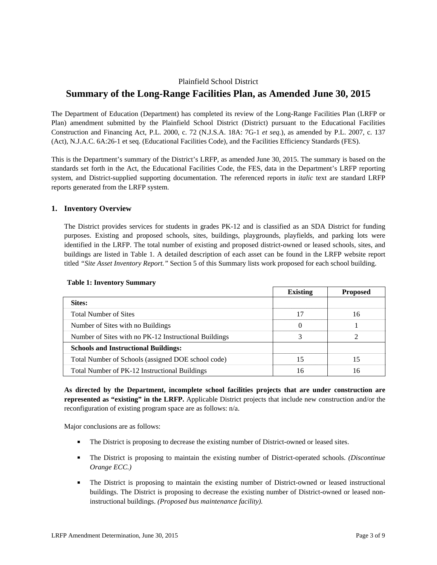# Plainfield School District **Summary of the Long-Range Facilities Plan, as Amended June 30, 2015**

The Department of Education (Department) has completed its review of the Long-Range Facilities Plan (LRFP or Plan) amendment submitted by the Plainfield School District (District) pursuant to the Educational Facilities Construction and Financing Act, P.L. 2000, c. 72 (N.J.S.A. 18A: 7G-1 *et seq.*), as amended by P.L. 2007, c. 137 (Act), N.J.A.C. 6A:26-1 et seq. (Educational Facilities Code), and the Facilities Efficiency Standards (FES).

This is the Department's summary of the District's LRFP, as amended June 30, 2015. The summary is based on the standards set forth in the Act, the Educational Facilities Code, the FES, data in the Department's LRFP reporting system, and District-supplied supporting documentation. The referenced reports in *italic* text are standard LRFP reports generated from the LRFP system.

## **1. Inventory Overview**

The District provides services for students in grades PK-12 and is classified as an SDA District for funding purposes. Existing and proposed schools, sites, buildings, playgrounds, playfields, and parking lots were identified in the LRFP. The total number of existing and proposed district-owned or leased schools, sites, and buildings are listed in Table 1. A detailed description of each asset can be found in the LRFP website report titled *"Site Asset Inventory Report."* Section 5 of this Summary lists work proposed for each school building.

|                                                       | <b>Existing</b> | <b>Proposed</b> |
|-------------------------------------------------------|-----------------|-----------------|
| Sites:                                                |                 |                 |
| <b>Total Number of Sites</b>                          | 17              | 16              |
| Number of Sites with no Buildings                     | $\theta$        |                 |
| Number of Sites with no PK-12 Instructional Buildings |                 |                 |
| <b>Schools and Instructional Buildings:</b>           |                 |                 |
| Total Number of Schools (assigned DOE school code)    | 15              | 15              |
| Total Number of PK-12 Instructional Buildings         | ۱6              | 16              |

#### **Table 1: Inventory Summary**

**As directed by the Department, incomplete school facilities projects that are under construction are represented as "existing" in the LRFP.** Applicable District projects that include new construction and/or the reconfiguration of existing program space are as follows: n/a.

Major conclusions are as follows:

- The District is proposing to decrease the existing number of District-owned or leased sites.
- The District is proposing to maintain the existing number of District-operated schools. *(Discontinue Orange ECC.)*
- The District is proposing to maintain the existing number of District-owned or leased instructional buildings. The District is proposing to decrease the existing number of District-owned or leased noninstructional buildings. *(Proposed bus maintenance facility).*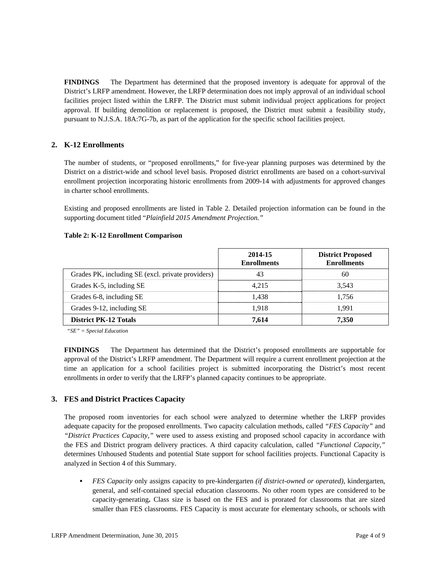**FINDINGS** The Department has determined that the proposed inventory is adequate for approval of the District's LRFP amendment. However, the LRFP determination does not imply approval of an individual school facilities project listed within the LRFP. The District must submit individual project applications for project approval. If building demolition or replacement is proposed, the District must submit a feasibility study, pursuant to N.J.S.A. 18A:7G-7b, as part of the application for the specific school facilities project.

# **2. K-12 Enrollments**

The number of students, or "proposed enrollments," for five-year planning purposes was determined by the District on a district-wide and school level basis. Proposed district enrollments are based on a cohort-survival enrollment projection incorporating historic enrollments from 2009-14 with adjustments for approved changes in charter school enrollments.

Existing and proposed enrollments are listed in Table 2. Detailed projection information can be found in the supporting document titled "*Plainfield 2015 Amendment Projection."*

#### **Table 2: K-12 Enrollment Comparison**

|                                                   | 2014-15<br><b>Enrollments</b> | <b>District Proposed</b><br><b>Enrollments</b> |
|---------------------------------------------------|-------------------------------|------------------------------------------------|
| Grades PK, including SE (excl. private providers) | 43                            | 60                                             |
| Grades K-5, including SE                          | 4.215                         | 3.543                                          |
| Grades 6-8, including SE                          | 1.438                         | 1.756                                          |
| Grades 9-12, including SE                         | 1.918                         | 1.991                                          |
| <b>District PK-12 Totals</b>                      | 7.614                         | 7.350                                          |

*"SE" = Special Education* 

**FINDINGS** The Department has determined that the District's proposed enrollments are supportable for approval of the District's LRFP amendment. The Department will require a current enrollment projection at the time an application for a school facilities project is submitted incorporating the District's most recent enrollments in order to verify that the LRFP's planned capacity continues to be appropriate.

## **3. FES and District Practices Capacity**

The proposed room inventories for each school were analyzed to determine whether the LRFP provides adequate capacity for the proposed enrollments. Two capacity calculation methods, called *"FES Capacity"* and *"District Practices Capacity,"* were used to assess existing and proposed school capacity in accordance with the FES and District program delivery practices. A third capacity calculation, called *"Functional Capacity,"* determines Unhoused Students and potential State support for school facilities projects. Functional Capacity is analyzed in Section 4 of this Summary.

 *FES Capacity* only assigns capacity to pre-kindergarten *(if district-owned or operated),* kindergarten, general, and self-contained special education classrooms. No other room types are considered to be capacity-generating**.** Class size is based on the FES and is prorated for classrooms that are sized smaller than FES classrooms. FES Capacity is most accurate for elementary schools, or schools with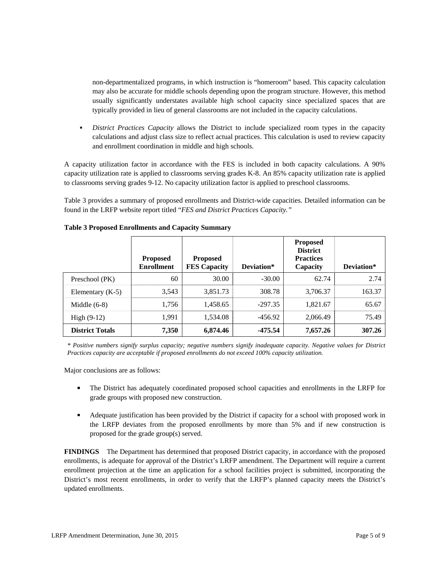non-departmentalized programs, in which instruction is "homeroom" based. This capacity calculation may also be accurate for middle schools depending upon the program structure. However, this method usually significantly understates available high school capacity since specialized spaces that are typically provided in lieu of general classrooms are not included in the capacity calculations.

 *District Practices Capacity* allows the District to include specialized room types in the capacity calculations and adjust class size to reflect actual practices. This calculation is used to review capacity and enrollment coordination in middle and high schools.

A capacity utilization factor in accordance with the FES is included in both capacity calculations. A 90% capacity utilization rate is applied to classrooms serving grades K-8. An 85% capacity utilization rate is applied to classrooms serving grades 9-12. No capacity utilization factor is applied to preschool classrooms.

Table 3 provides a summary of proposed enrollments and District-wide capacities. Detailed information can be found in the LRFP website report titled "*FES and District Practices Capacity."*

|                        | <b>Proposed</b><br><b>Enrollment</b> | <b>Proposed</b><br><b>FES Capacity</b> | Deviation* | <b>Proposed</b><br><b>District</b><br><b>Practices</b><br>Capacity | Deviation* |
|------------------------|--------------------------------------|----------------------------------------|------------|--------------------------------------------------------------------|------------|
| Preschool (PK)         | 60                                   | 30.00                                  | $-30.00$   | 62.74                                                              | 2.74       |
| Elementary $(K-5)$     | 3,543                                | 3,851.73                               | 308.78     | 3,706.37                                                           | 163.37     |
| Middle $(6-8)$         | 1,756                                | 1,458.65                               | $-297.35$  | 1,821.67                                                           | 65.67      |
| High $(9-12)$          | 1,991                                | 1,534.08                               | $-456.92$  | 2,066.49                                                           | 75.49      |
| <b>District Totals</b> | 7,350                                | 6,874.46                               | $-475.54$  | 7,657.26                                                           | 307.26     |

## **Table 3 Proposed Enrollments and Capacity Summary**

*\* Positive numbers signify surplus capacity; negative numbers signify inadequate capacity. Negative values for District Practices capacity are acceptable if proposed enrollments do not exceed 100% capacity utilization.* 

Major conclusions are as follows:

- The District has adequately coordinated proposed school capacities and enrollments in the LRFP for grade groups with proposed new construction.
- Adequate justification has been provided by the District if capacity for a school with proposed work in the LRFP deviates from the proposed enrollments by more than 5% and if new construction is proposed for the grade group(s) served.

**FINDINGS** The Department has determined that proposed District capacity, in accordance with the proposed enrollments, is adequate for approval of the District's LRFP amendment. The Department will require a current enrollment projection at the time an application for a school facilities project is submitted, incorporating the District's most recent enrollments, in order to verify that the LRFP's planned capacity meets the District's updated enrollments.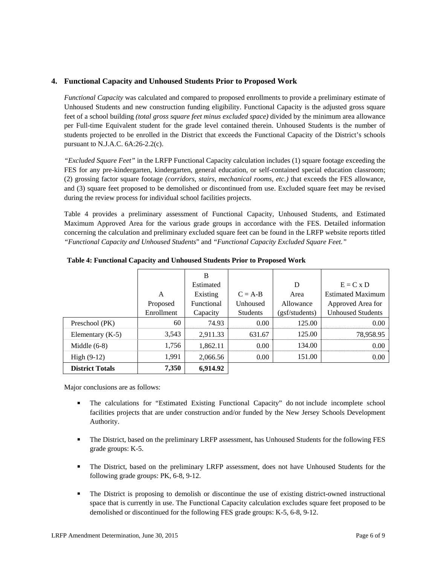## **4. Functional Capacity and Unhoused Students Prior to Proposed Work**

*Functional Capacity* was calculated and compared to proposed enrollments to provide a preliminary estimate of Unhoused Students and new construction funding eligibility. Functional Capacity is the adjusted gross square feet of a school building *(total gross square feet minus excluded space)* divided by the minimum area allowance per Full-time Equivalent student for the grade level contained therein. Unhoused Students is the number of students projected to be enrolled in the District that exceeds the Functional Capacity of the District's schools pursuant to N.J.A.C. 6A:26-2.2(c).

*"Excluded Square Feet"* in the LRFP Functional Capacity calculation includes (1) square footage exceeding the FES for any pre-kindergarten, kindergarten, general education, or self-contained special education classroom; (2) grossing factor square footage *(corridors, stairs, mechanical rooms, etc.)* that exceeds the FES allowance, and (3) square feet proposed to be demolished or discontinued from use. Excluded square feet may be revised during the review process for individual school facilities projects.

Table 4 provides a preliminary assessment of Functional Capacity, Unhoused Students, and Estimated Maximum Approved Area for the various grade groups in accordance with the FES. Detailed information concerning the calculation and preliminary excluded square feet can be found in the LRFP website reports titled *"Functional Capacity and Unhoused Students*" and *"Functional Capacity Excluded Square Feet."*

|                        |            | B          |                 |                |                          |
|------------------------|------------|------------|-----------------|----------------|--------------------------|
|                        |            | Estimated  |                 | D              | $E = C x D$              |
|                        | A          | Existing   | $C = A-B$       | Area           | <b>Estimated Maximum</b> |
|                        | Proposed   | Functional | Unhoused        | Allowance      | Approved Area for        |
|                        | Enrollment | Capacity   | <b>Students</b> | (gsf/students) | <b>Unhoused Students</b> |
| Preschool (PK)         | 60         | 74.93      | 0.00            | 125.00         | 0.00                     |
| Elementary $(K-5)$     | 3,543      | 2,911.33   | 631.67          | 125.00         | 78,958.95                |
| Middle $(6-8)$         | 1,756      | 1,862.11   | 0.00            | 134.00         | 0.00                     |
| High $(9-12)$          | 1,991      | 2,066.56   | 0.00            | 151.00         | 0.00                     |
| <b>District Totals</b> | 7,350      | 6,914.92   |                 |                |                          |

**Table 4: Functional Capacity and Unhoused Students Prior to Proposed Work** 

Major conclusions are as follows:

- The calculations for "Estimated Existing Functional Capacity" do not include incomplete school facilities projects that are under construction and/or funded by the New Jersey Schools Development Authority.
- The District, based on the preliminary LRFP assessment, has Unhoused Students for the following FES grade groups: K-5.
- The District, based on the preliminary LRFP assessment, does not have Unhoused Students for the following grade groups: PK, 6-8, 9-12.
- The District is proposing to demolish or discontinue the use of existing district-owned instructional space that is currently in use. The Functional Capacity calculation excludes square feet proposed to be demolished or discontinued for the following FES grade groups: K-5, 6-8, 9-12.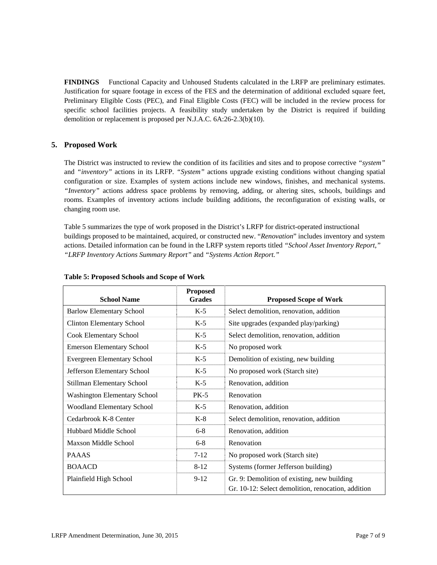**FINDINGS** Functional Capacity and Unhoused Students calculated in the LRFP are preliminary estimates. Justification for square footage in excess of the FES and the determination of additional excluded square feet, Preliminary Eligible Costs (PEC), and Final Eligible Costs (FEC) will be included in the review process for specific school facilities projects. A feasibility study undertaken by the District is required if building demolition or replacement is proposed per N.J.A.C. 6A:26-2.3(b)(10).

# **5. Proposed Work**

The District was instructed to review the condition of its facilities and sites and to propose corrective *"system"* and *"inventory"* actions in its LRFP. *"System"* actions upgrade existing conditions without changing spatial configuration or size. Examples of system actions include new windows, finishes, and mechanical systems. *"Inventory"* actions address space problems by removing, adding, or altering sites, schools, buildings and rooms. Examples of inventory actions include building additions, the reconfiguration of existing walls, or changing room use.

Table 5 summarizes the type of work proposed in the District's LRFP for district-operated instructional buildings proposed to be maintained, acquired, or constructed new. "*Renovation*" includes inventory and system actions. Detailed information can be found in the LRFP system reports titled *"School Asset Inventory Report," "LRFP Inventory Actions Summary Report"* and *"Systems Action Report."*

| <b>School Name</b>                  | <b>Proposed</b><br><b>Grades</b> | <b>Proposed Scope of Work</b>                                                                     |
|-------------------------------------|----------------------------------|---------------------------------------------------------------------------------------------------|
| <b>Barlow Elementary School</b>     | $K-5$                            | Select demolition, renovation, addition                                                           |
| <b>Clinton Elementary School</b>    | $K-5$                            | Site upgrades (expanded play/parking)                                                             |
| <b>Cook Elementary School</b>       | $K-5$                            | Select demolition, renovation, addition                                                           |
| <b>Emerson Elementary School</b>    | $K-5$                            | No proposed work                                                                                  |
| Evergreen Elementary School         | $K-5$                            | Demolition of existing, new building                                                              |
| Jefferson Elementary School         | $K-5$                            | No proposed work (Starch site)                                                                    |
| Stillman Elementary School          | $K-5$                            | Renovation, addition                                                                              |
| <b>Washington Elementary School</b> | $PK-5$                           | Renovation                                                                                        |
| <b>Woodland Elementary School</b>   | $K-5$                            | Renovation, addition                                                                              |
| Cedarbrook K-8 Center               | $K-8$                            | Select demolition, renovation, addition                                                           |
| Hubbard Middle School               | $6 - 8$                          | Renovation, addition                                                                              |
| Maxson Middle School                | $6 - 8$                          | Renovation                                                                                        |
| <b>PAAAS</b>                        | $7-12$                           | No proposed work (Starch site)                                                                    |
| <b>BOAACD</b>                       | $8 - 12$                         | Systems (former Jefferson building)                                                               |
| Plainfield High School              | $9-12$                           | Gr. 9: Demolition of existing, new building<br>Gr. 10-12: Select demolition, renocation, addition |

#### **Table 5: Proposed Schools and Scope of Work**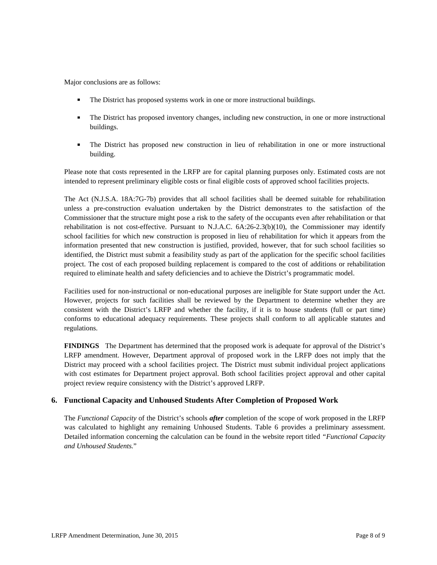Major conclusions are as follows:

- The District has proposed systems work in one or more instructional buildings.
- The District has proposed inventory changes, including new construction, in one or more instructional buildings.
- The District has proposed new construction in lieu of rehabilitation in one or more instructional building.

Please note that costs represented in the LRFP are for capital planning purposes only. Estimated costs are not intended to represent preliminary eligible costs or final eligible costs of approved school facilities projects.

The Act (N.J.S.A. 18A:7G-7b) provides that all school facilities shall be deemed suitable for rehabilitation unless a pre-construction evaluation undertaken by the District demonstrates to the satisfaction of the Commissioner that the structure might pose a risk to the safety of the occupants even after rehabilitation or that rehabilitation is not cost-effective. Pursuant to N.J.A.C. 6A:26-2.3(b)(10), the Commissioner may identify school facilities for which new construction is proposed in lieu of rehabilitation for which it appears from the information presented that new construction is justified, provided, however, that for such school facilities so identified, the District must submit a feasibility study as part of the application for the specific school facilities project. The cost of each proposed building replacement is compared to the cost of additions or rehabilitation required to eliminate health and safety deficiencies and to achieve the District's programmatic model.

Facilities used for non-instructional or non-educational purposes are ineligible for State support under the Act. However, projects for such facilities shall be reviewed by the Department to determine whether they are consistent with the District's LRFP and whether the facility, if it is to house students (full or part time) conforms to educational adequacy requirements. These projects shall conform to all applicable statutes and regulations.

**FINDINGS** The Department has determined that the proposed work is adequate for approval of the District's LRFP amendment. However, Department approval of proposed work in the LRFP does not imply that the District may proceed with a school facilities project. The District must submit individual project applications with cost estimates for Department project approval. Both school facilities project approval and other capital project review require consistency with the District's approved LRFP.

# **6. Functional Capacity and Unhoused Students After Completion of Proposed Work**

The *Functional Capacity* of the District's schools *after* completion of the scope of work proposed in the LRFP was calculated to highlight any remaining Unhoused Students. Table 6 provides a preliminary assessment. Detailed information concerning the calculation can be found in the website report titled *"Functional Capacity and Unhoused Students.*"